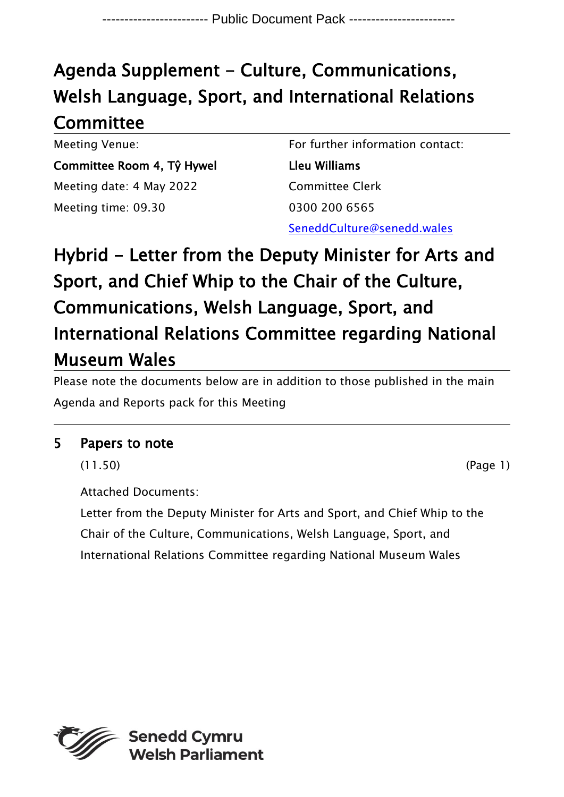## Agenda Supplement - Culture, Communications, Welsh Language, Sport, and International Relations **Committee**

Meeting Venue: Committee Room 4, Tŷ Hywel Meeting date: 4 May 2022 Meeting time: 09.30

For further information contact: Lleu Williams Committee Clerk 0300 200 6565 SeneddCulture@senedd.wales

## Hybrid - Letter from the Deputy Minister for Arts and Sport, and Chief Whip to the Chair of the Culture, Communications, Welsh Language, Sport, and International Relations Committee regarding National Museum Wales

Please note the documents below are in addition to those published in the main Agenda and Reports pack for this Meeting

## 5 Papers to note

(11.50) (Page 1)

Attached Documents:

Letter from the Deputy Minister for Arts and Sport, and Chief Whip to the Chair of the Culture, Communications, Welsh Language, Sport, and International Relations Committee regarding National Museum Wales